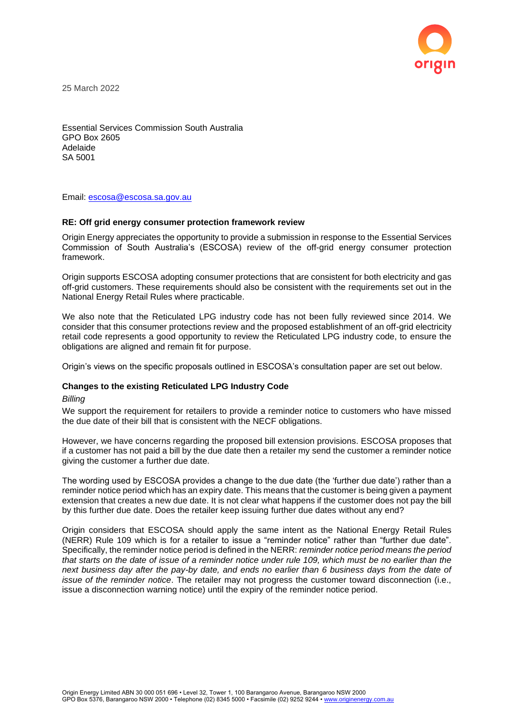

25 March 2022

Essential Services Commission South Australia GPO Box 2605 Adelaide SA 5001

Email: [escosa@escosa.sa.gov.au](mailto:escosa@escosa.sa.gov.au)

## **RE: Off grid energy consumer protection framework review**

Origin Energy appreciates the opportunity to provide a submission in response to the Essential Services Commission of South Australia's (ESCOSA) review of the off-grid energy consumer protection framework.

Origin supports ESCOSA adopting consumer protections that are consistent for both electricity and gas off-grid customers. These requirements should also be consistent with the requirements set out in the National Energy Retail Rules where practicable.

We also note that the Reticulated LPG industry code has not been fully reviewed since 2014. We consider that this consumer protections review and the proposed establishment of an off-grid electricity retail code represents a good opportunity to review the Reticulated LPG industry code, to ensure the obligations are aligned and remain fit for purpose.

Origin's views on the specific proposals outlined in ESCOSA's consultation paper are set out below.

## **Changes to the existing Reticulated LPG Industry Code**

#### *Billing*

We support the requirement for retailers to provide a reminder notice to customers who have missed the due date of their bill that is consistent with the NECF obligations.

However, we have concerns regarding the proposed bill extension provisions. ESCOSA proposes that if a customer has not paid a bill by the due date then a retailer my send the customer a reminder notice giving the customer a further due date.

The wording used by ESCOSA provides a change to the due date (the 'further due date') rather than a reminder notice period which has an expiry date. This means that the customer is being given a payment extension that creates a new due date. It is not clear what happens if the customer does not pay the bill by this further due date. Does the retailer keep issuing further due dates without any end?

Origin considers that ESCOSA should apply the same intent as the National Energy Retail Rules (NERR) Rule 109 which is for a retailer to issue a "reminder notice" rather than "further due date". Specifically, the reminder notice period is defined in the NERR: *reminder notice period means the period that starts on the date of issue of a reminder notice under rule 109, which must be no earlier than the next business day after the pay-by date, and ends no earlier than 6 business days from the date of issue of the reminder notice*. The retailer may not progress the customer toward disconnection (i.e., issue a disconnection warning notice) until the expiry of the reminder notice period.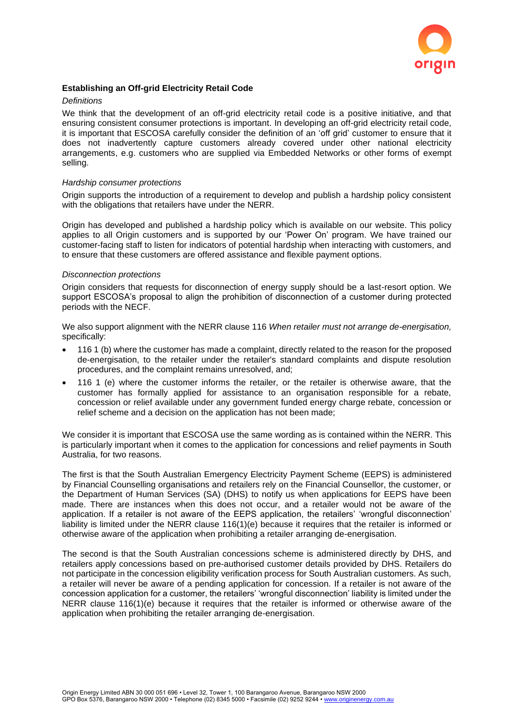

# **Establishing an Off-grid Electricity Retail Code**

#### *Definitions*

We think that the development of an off-grid electricity retail code is a positive initiative, and that ensuring consistent consumer protections is important. In developing an off-grid electricity retail code, it is important that ESCOSA carefully consider the definition of an 'off grid' customer to ensure that it does not inadvertently capture customers already covered under other national electricity arrangements, e.g. customers who are supplied via Embedded Networks or other forms of exempt selling.

### *Hardship consumer protections*

Origin supports the introduction of a requirement to develop and publish a hardship policy consistent with the obligations that retailers have under the NERR.

Origin has developed and published a hardship policy which is available on our website. This policy applies to all Origin customers and is supported by our 'Power On' program. We have trained our customer-facing staff to listen for indicators of potential hardship when interacting with customers, and to ensure that these customers are offered assistance and flexible payment options.

#### *Disconnection protections*

Origin considers that requests for disconnection of energy supply should be a last-resort option. We support ESCOSA's proposal to align the prohibition of disconnection of a customer during protected periods with the NECF.

We also support alignment with the NERR clause 116 *When retailer must not arrange de-energisation,*  specifically:

- 116 1 (b) where the customer has made a complaint, directly related to the reason for the proposed de-energisation, to the retailer under the retailer's standard complaints and dispute resolution procedures, and the complaint remains unresolved, and;
- 116 1 (e) where the customer informs the retailer, or the retailer is otherwise aware, that the customer has formally applied for assistance to an organisation responsible for a rebate, concession or relief available under any government funded energy charge rebate, concession or relief scheme and a decision on the application has not been made;

We consider it is important that ESCOSA use the same wording as is contained within the NERR. This is particularly important when it comes to the application for concessions and relief payments in South Australia, for two reasons.

The first is that the South Australian Emergency Electricity Payment Scheme (EEPS) is administered by Financial Counselling organisations and retailers rely on the Financial Counsellor, the customer, or the Department of Human Services (SA) (DHS) to notify us when applications for EEPS have been made. There are instances when this does not occur, and a retailer would not be aware of the application. If a retailer is not aware of the EEPS application, the retailers' 'wrongful disconnection' liability is limited under the NERR clause 116(1)(e) because it requires that the retailer is informed or otherwise aware of the application when prohibiting a retailer arranging de-energisation.

The second is that the South Australian concessions scheme is administered directly by DHS, and retailers apply concessions based on pre-authorised customer details provided by DHS. Retailers do not participate in the concession eligibility verification process for South Australian customers. As such, a retailer will never be aware of a pending application for concession. If a retailer is not aware of the concession application for a customer, the retailers' 'wrongful disconnection' liability is limited under the NERR clause 116(1)(e) because it requires that the retailer is informed or otherwise aware of the application when prohibiting the retailer arranging de-energisation.